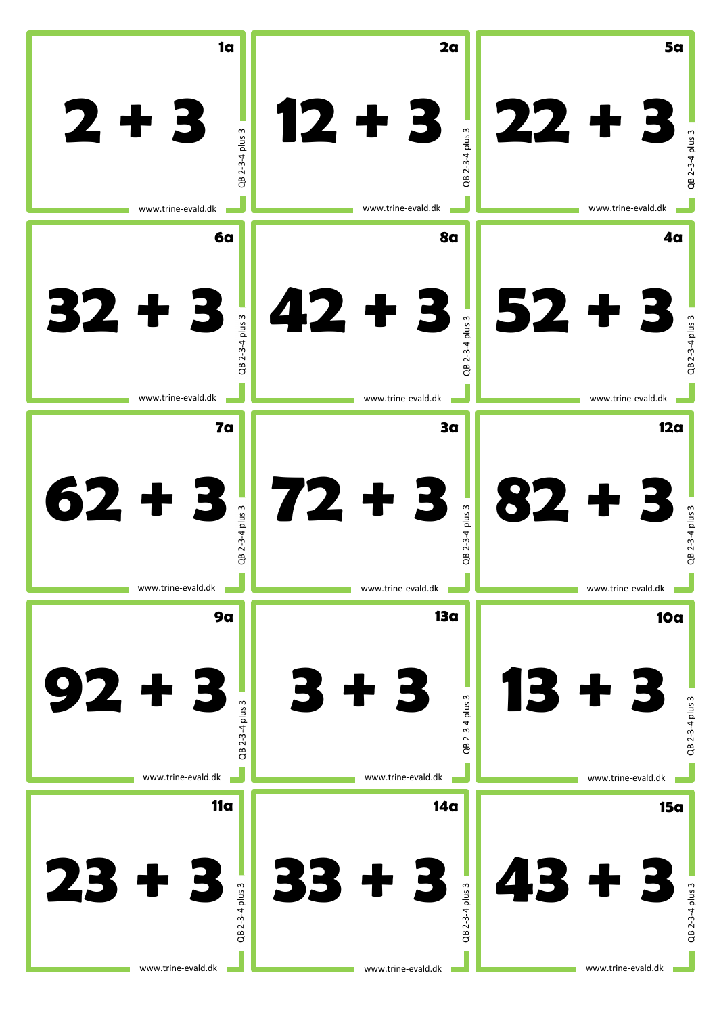